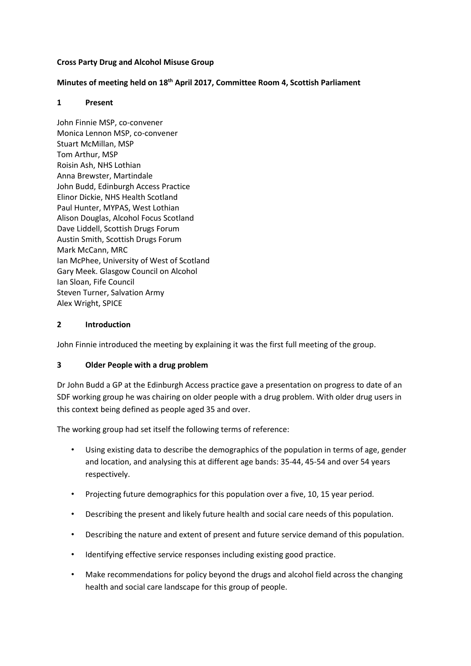### **Cross Party Drug and Alcohol Misuse Group**

### **Minutes of meeting held on 18th April 2017, Committee Room 4, Scottish Parliament**

#### **1 Present**

John Finnie MSP, co-convener Monica Lennon MSP, co-convener Stuart McMillan, MSP Tom Arthur, MSP Roisin Ash, NHS Lothian Anna Brewster, Martindale John Budd, Edinburgh Access Practice Elinor Dickie, NHS Health Scotland Paul Hunter, MYPAS, West Lothian Alison Douglas, Alcohol Focus Scotland Dave Liddell, Scottish Drugs Forum Austin Smith, Scottish Drugs Forum Mark McCann, MRC Ian McPhee, University of West of Scotland Gary Meek. Glasgow Council on Alcohol Ian Sloan, Fife Council Steven Turner, Salvation Army Alex Wright, SPICE

# **2 Introduction**

John Finnie introduced the meeting by explaining it was the first full meeting of the group.

# **3 Older People with a drug problem**

Dr John Budd a GP at the Edinburgh Access practice gave a presentation on progress to date of an SDF working group he was chairing on older people with a drug problem. With older drug users in this context being defined as people aged 35 and over.

The working group had set itself the following terms of reference:

- Using existing data to describe the demographics of the population in terms of age, gender and location, and analysing this at different age bands: 35-44, 45-54 and over 54 years respectively.
- Projecting future demographics for this population over a five, 10, 15 year period.
- Describing the present and likely future health and social care needs of this population.
- Describing the nature and extent of present and future service demand of this population.
- Identifying effective service responses including existing good practice.
- Make recommendations for policy beyond the drugs and alcohol field across the changing health and social care landscape for this group of people.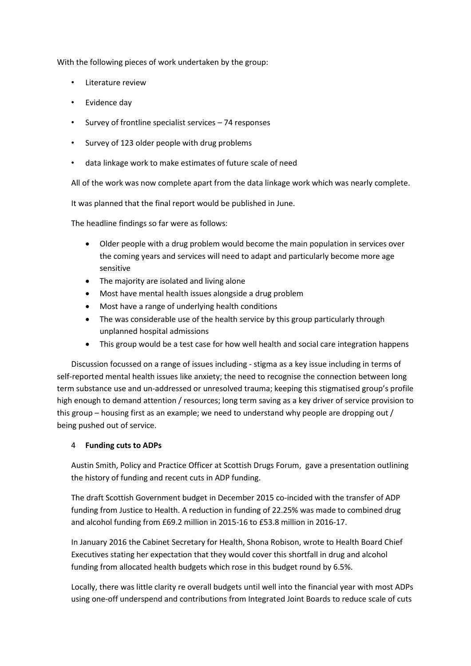With the following pieces of work undertaken by the group:

- Literature review
- Evidence day
- Survey of frontline specialist services 74 responses
- Survey of 123 older people with drug problems
- data linkage work to make estimates of future scale of need

All of the work was now complete apart from the data linkage work which was nearly complete.

It was planned that the final report would be published in June.

The headline findings so far were as follows:

- Older people with a drug problem would become the main population in services over the coming years and services will need to adapt and particularly become more age sensitive
- The majority are isolated and living alone
- Most have mental health issues alongside a drug problem
- Most have a range of underlying health conditions
- The was considerable use of the health service by this group particularly through unplanned hospital admissions
- This group would be a test case for how well health and social care integration happens

Discussion focussed on a range of issues including - stigma as a key issue including in terms of self-reported mental health issues like anxiety; the need to recognise the connection between long term substance use and un-addressed or unresolved trauma; keeping this stigmatised group's profile high enough to demand attention / resources; long term saving as a key driver of service provision to this group – housing first as an example; we need to understand why people are dropping out / being pushed out of service.

#### 4 **Funding cuts to ADPs**

Austin Smith, Policy and Practice Officer at Scottish Drugs Forum, gave a presentation outlining the history of funding and recent cuts in ADP funding.

The draft Scottish Government budget in December 2015 co-incided with the transfer of ADP funding from Justice to Health. A reduction in funding of 22.25% was made to combined drug and alcohol funding from £69.2 million in 2015-16 to £53.8 million in 2016-17.

In January 2016 the Cabinet Secretary for Health, Shona Robison, wrote to Health Board Chief Executives stating her expectation that they would cover this shortfall in drug and alcohol funding from allocated health budgets which rose in this budget round by 6.5%.

Locally, there was little clarity re overall budgets until well into the financial year with most ADPs using one-off underspend and contributions from Integrated Joint Boards to reduce scale of cuts